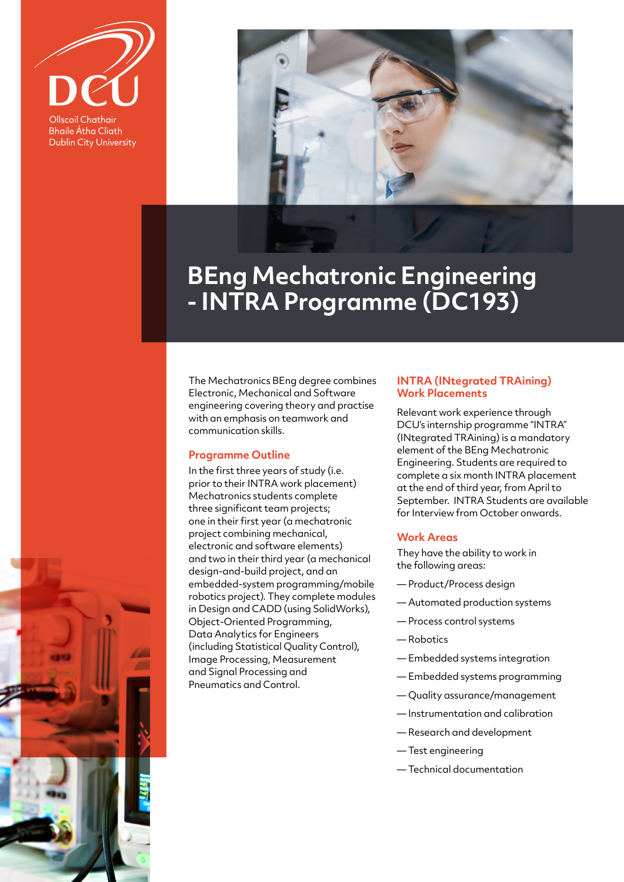

**Bhaile Átha Cliath Dublin City University** 



## **BEng Mechatronic Engineering - INTRA Programme (DC193)**

The Mechatronics BEng degree combines Electronic, Mechanical and Software engineering covering theory and practise with an emphasis on teamwork and communication skills.

## **Programme Outline**

In the first three years of study (i.e. prior to their INTRA work placement) Mechatronics students complete three significant team projects; one in their first year (a mechatronic project combining mechanical, electronic and software elements) and two in their third year (a mechanical design-and-build project, and an embedded-system programming/mobile robotics project). They complete modules in Design and CADD (using SolidWorks), Object-Oriented Programming, Data Analytics for Engineers (including Statistical Quality Control), Image Processing, Measurement and Signal Processing and Pneumatics and Control.

## **INTRA (INtegrated TRAining) Work Placements**

Relevant work experience through DCU's internship programme "INTRA" (INtegrated TRAining) is a mandatory element of the BEng Mechatronic Engineering. Students are required to complete a six month INTRA placement at the end of third year, from April to September. INTRA Students are available for Interview from October onwards.

## **Work Areas**

They have the ability to work in the following areas:

- Product/Process design
- Automated production systems
- Process control systems
- Robotics
- Embedded systems integration
- Embedded systems programming
- Quality assurance/management
- Instrumentation and calibration
- Research and development
- Test engineering
- Technical documentation